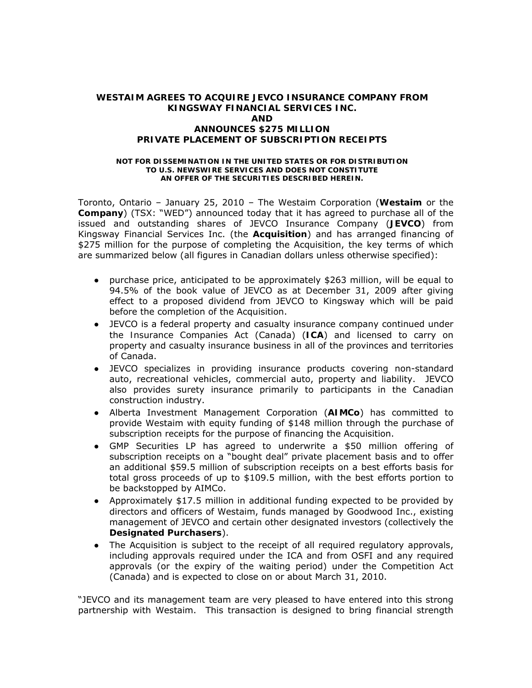#### **WESTAIM AGREES TO ACQUIRE JEVCO INSURANCE COMPANY FROM KINGSWAY FINANCIAL SERVICES INC. AND ANNOUNCES \$275 MILLION PRIVATE PLACEMENT OF SUBSCRIPTION RECEIPTS**

#### **NOT FOR DISSEMINATION IN THE UNITED STATES OR FOR DISTRIBUTION TO U.S. NEWSWIRE SERVICES AND DOES NOT CONSTITUTE AN OFFER OF THE SECURITIES DESCRIBED HEREIN.**

Toronto, Ontario – January 25, 2010 – The Westaim Corporation (**Westaim** or the **Company**) (TSX: "WED") announced today that it has agreed to purchase all of the issued and outstanding shares of JEVCO Insurance Company (**JEVCO**) from Kingsway Financial Services Inc. (the **Acquisition**) and has arranged financing of \$275 million for the purpose of completing the Acquisition, the key terms of which are summarized below (all figures in Canadian dollars unless otherwise specified):

- purchase price, anticipated to be approximately \$263 million, will be equal to 94.5% of the book value of JEVCO as at December 31, 2009 after giving effect to a proposed dividend from JEVCO to Kingsway which will be paid before the completion of the Acquisition.
- JEVCO is a federal property and casualty insurance company continued under the *Insurance Companies Act* (Canada) (**ICA**) and licensed to carry on property and casualty insurance business in all of the provinces and territories of Canada.
- JEVCO specializes in providing insurance products covering non-standard auto, recreational vehicles, commercial auto, property and liability. JEVCO also provides surety insurance primarily to participants in the Canadian construction industry.
- Alberta Investment Management Corporation (**AIMCo**) has committed to provide Westaim with equity funding of \$148 million through the purchase of subscription receipts for the purpose of financing the Acquisition.
- GMP Securities LP has agreed to underwrite a \$50 million offering of subscription receipts on a "bought deal" private placement basis and to offer an additional \$59.5 million of subscription receipts on a best efforts basis for total gross proceeds of up to \$109.5 million, with the best efforts portion to be backstopped by AIMCo.
- Approximately \$17.5 million in additional funding expected to be provided by directors and officers of Westaim, funds managed by Goodwood Inc., existing management of JEVCO and certain other designated investors (collectively the **Designated Purchasers**).
- The Acquisition is subject to the receipt of all required regulatory approvals, including approvals required under the ICA and from OSFI and any required approvals (or the expiry of the waiting period) under the *Competition Act* (Canada) and is expected to close on or about March 31, 2010.

"JEVCO and its management team are very pleased to have entered into this strong partnership with Westaim. This transaction is designed to bring financial strength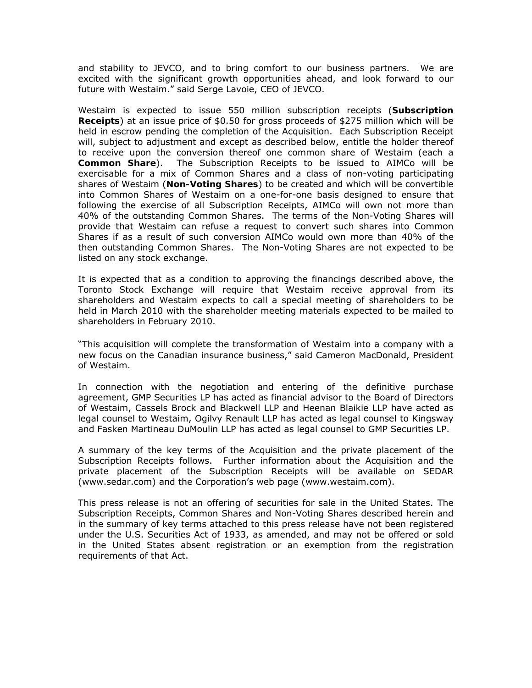and stability to JEVCO, and to bring comfort to our business partners. We are excited with the significant growth opportunities ahead, and look forward to our future with Westaim." said Serge Lavoie, CEO of JEVCO.

Westaim is expected to issue 550 million subscription receipts (**Subscription Receipts**) at an issue price of \$0.50 for gross proceeds of \$275 million which will be held in escrow pending the completion of the Acquisition. Each Subscription Receipt will, subject to adjustment and except as described below, entitle the holder thereof to receive upon the conversion thereof one common share of Westaim (each a **Common Share**). The Subscription Receipts to be issued to AIMCo will be exercisable for a mix of Common Shares and a class of non-voting participating shares of Westaim (**Non-Voting Shares**) to be created and which will be convertible into Common Shares of Westaim on a one-for-one basis designed to ensure that following the exercise of all Subscription Receipts, AIMCo will own not more than 40% of the outstanding Common Shares. The terms of the Non-Voting Shares will provide that Westaim can refuse a request to convert such shares into Common Shares if as a result of such conversion AIMCo would own more than 40% of the then outstanding Common Shares. The Non-Voting Shares are not expected to be listed on any stock exchange.

It is expected that as a condition to approving the financings described above, the Toronto Stock Exchange will require that Westaim receive approval from its shareholders and Westaim expects to call a special meeting of shareholders to be held in March 2010 with the shareholder meeting materials expected to be mailed to shareholders in February 2010.

"This acquisition will complete the transformation of Westaim into a company with a new focus on the Canadian insurance business," said Cameron MacDonald, President of Westaim.

In connection with the negotiation and entering of the definitive purchase agreement, GMP Securities LP has acted as financial advisor to the Board of Directors of Westaim, Cassels Brock and Blackwell LLP and Heenan Blaikie LLP have acted as legal counsel to Westaim, Ogilvy Renault LLP has acted as legal counsel to Kingsway and Fasken Martineau DuMoulin LLP has acted as legal counsel to GMP Securities LP.

A summary of the key terms of the Acquisition and the private placement of the Subscription Receipts follows. Further information about the Acquisition and the private placement of the Subscription Receipts will be available on SEDAR (www.sedar.com) and the Corporation's web page (www.westaim.com).

This press release is not an offering of securities for sale in the United States. The Subscription Receipts, Common Shares and Non-Voting Shares described herein and in the summary of key terms attached to this press release have not been registered under the U.S. Securities Act of 1933, as amended, and may not be offered or sold in the United States absent registration or an exemption from the registration requirements of that Act.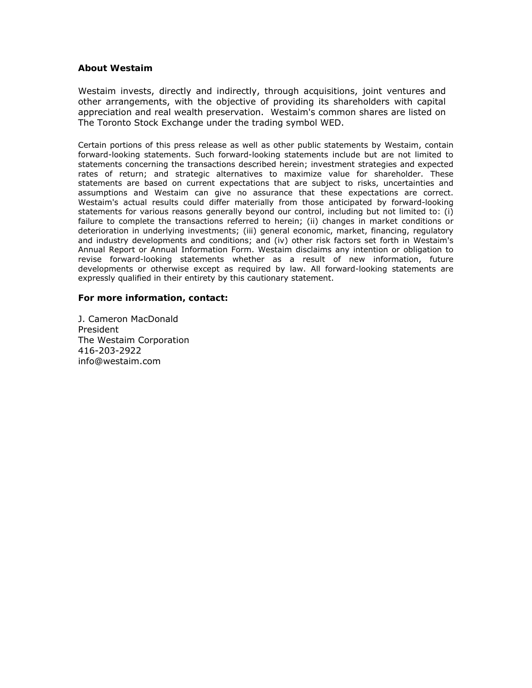#### **About Westaim**

Westaim invests, directly and indirectly, through acquisitions, joint ventures and other arrangements, with the objective of providing its shareholders with capital appreciation and real wealth preservation. Westaim's common shares are listed on The Toronto Stock Exchange under the trading symbol WED.

Certain portions of this press release as well as other public statements by Westaim, contain forward-looking statements. Such forward-looking statements include but are not limited to statements concerning the transactions described herein; investment strategies and expected rates of return; and strategic alternatives to maximize value for shareholder. These statements are based on current expectations that are subject to risks, uncertainties and assumptions and Westaim can give no assurance that these expectations are correct. Westaim's actual results could differ materially from those anticipated by forward-looking statements for various reasons generally beyond our control, including but not limited to: (i) failure to complete the transactions referred to herein; (ii) changes in market conditions or deterioration in underlying investments; (iii) general economic, market, financing, regulatory and industry developments and conditions; and (iv) other risk factors set forth in Westaim's Annual Report or Annual Information Form. Westaim disclaims any intention or obligation to revise forward-looking statements whether as a result of new information, future developments or otherwise except as required by law. All forward-looking statements are expressly qualified in their entirety by this cautionary statement.

#### **For more information, contact:**

J. Cameron MacDonald President The Westaim Corporation 416-203-2922 info@westaim.com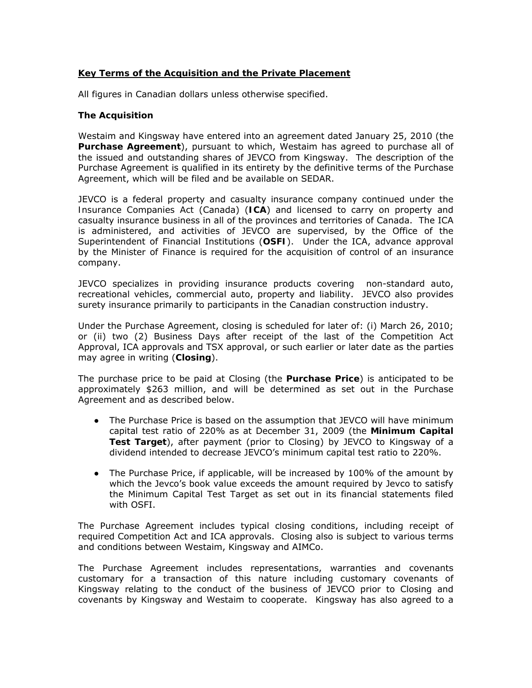# **Key Terms of the Acquisition and the Private Placement**

All figures in Canadian dollars unless otherwise specified.

## **The Acquisition**

Westaim and Kingsway have entered into an agreement dated January 25, 2010 (the **Purchase Agreement**), pursuant to which, Westaim has agreed to purchase all of the issued and outstanding shares of JEVCO from Kingsway. The description of the Purchase Agreement is qualified in its entirety by the definitive terms of the Purchase Agreement, which will be filed and be available on SEDAR.

JEVCO is a federal property and casualty insurance company continued under the *Insurance Companies Act* (Canada) (**ICA**) and licensed to carry on property and casualty insurance business in all of the provinces and territories of Canada. The ICA is administered, and activities of JEVCO are supervised, by the Office of the Superintendent of Financial Institutions (**OSFI**). Under the ICA, advance approval by the Minister of Finance is required for the acquisition of control of an insurance company.

JEVCO specializes in providing insurance products covering non-standard auto, recreational vehicles, commercial auto, property and liability. JEVCO also provides surety insurance primarily to participants in the Canadian construction industry.

Under the Purchase Agreement, closing is scheduled for later of: (i) March 26, 2010; or (ii) two (2) Business Days after receipt of the last of the Competition Act Approval, ICA approvals and TSX approval, or such earlier or later date as the parties may agree in writing (**Closing**).

The purchase price to be paid at Closing (the **Purchase Price**) is anticipated to be approximately \$263 million, and will be determined as set out in the Purchase Agreement and as described below.

- The Purchase Price is based on the assumption that JEVCO will have minimum capital test ratio of 220% as at December 31, 2009 (the **Minimum Capital Test Target**), after payment (prior to Closing) by JEVCO to Kingsway of a dividend intended to decrease JEVCO's minimum capital test ratio to 220%.
- The Purchase Price, if applicable, will be increased by 100% of the amount by which the Jevco's book value exceeds the amount required by Jevco to satisfy the Minimum Capital Test Target as set out in its financial statements filed with OSFI.

The Purchase Agreement includes typical closing conditions, including receipt of required Competition Act and ICA approvals. Closing also is subject to various terms and conditions between Westaim, Kingsway and AIMCo.

The Purchase Agreement includes representations, warranties and covenants customary for a transaction of this nature including customary covenants of Kingsway relating to the conduct of the business of JEVCO prior to Closing and covenants by Kingsway and Westaim to cooperate. Kingsway has also agreed to a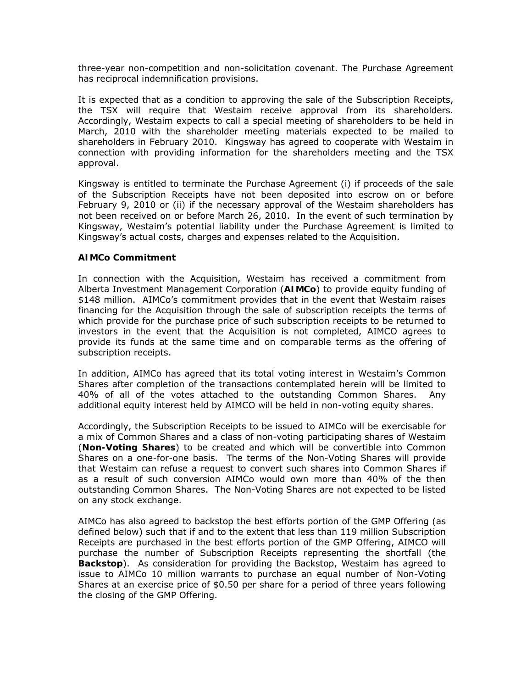three-year non-competition and non-solicitation covenant. The Purchase Agreement has reciprocal indemnification provisions.

It is expected that as a condition to approving the sale of the Subscription Receipts, the TSX will require that Westaim receive approval from its shareholders. Accordingly, Westaim expects to call a special meeting of shareholders to be held in March, 2010 with the shareholder meeting materials expected to be mailed to shareholders in February 2010. Kingsway has agreed to cooperate with Westaim in connection with providing information for the shareholders meeting and the TSX approval.

Kingsway is entitled to terminate the Purchase Agreement (i) if proceeds of the sale of the Subscription Receipts have not been deposited into escrow on or before February 9, 2010 or (ii) if the necessary approval of the Westaim shareholders has not been received on or before March 26, 2010. In the event of such termination by Kingsway, Westaim's potential liability under the Purchase Agreement is limited to Kingsway's actual costs, charges and expenses related to the Acquisition.

# **AIMCo Commitment**

In connection with the Acquisition, Westaim has received a commitment from Alberta Investment Management Corporation (**AIMCo**) to provide equity funding of \$148 million. AIMCo's commitment provides that in the event that Westaim raises financing for the Acquisition through the sale of subscription receipts the terms of which provide for the purchase price of such subscription receipts to be returned to investors in the event that the Acquisition is not completed, AIMCO agrees to provide its funds at the same time and on comparable terms as the offering of subscription receipts.

In addition, AIMCo has agreed that its total voting interest in Westaim's Common Shares after completion of the transactions contemplated herein will be limited to 40% of all of the votes attached to the outstanding Common Shares. Any additional equity interest held by AIMCO will be held in non-voting equity shares.

Accordingly, the Subscription Receipts to be issued to AIMCo will be exercisable for a mix of Common Shares and a class of non-voting participating shares of Westaim (**Non-Voting Shares**) to be created and which will be convertible into Common Shares on a one-for-one basis. The terms of the Non-Voting Shares will provide that Westaim can refuse a request to convert such shares into Common Shares if as a result of such conversion AIMCo would own more than 40% of the then outstanding Common Shares. The Non-Voting Shares are not expected to be listed on any stock exchange.

AIMCo has also agreed to backstop the best efforts portion of the GMP Offering (as defined below) such that if and to the extent that less than 119 million Subscription Receipts are purchased in the best efforts portion of the GMP Offering, AIMCO will purchase the number of Subscription Receipts representing the shortfall (the **Backstop**). As consideration for providing the Backstop, Westaim has agreed to issue to AIMCo 10 million warrants to purchase an equal number of Non-Voting Shares at an exercise price of \$0.50 per share for a period of three years following the closing of the GMP Offering.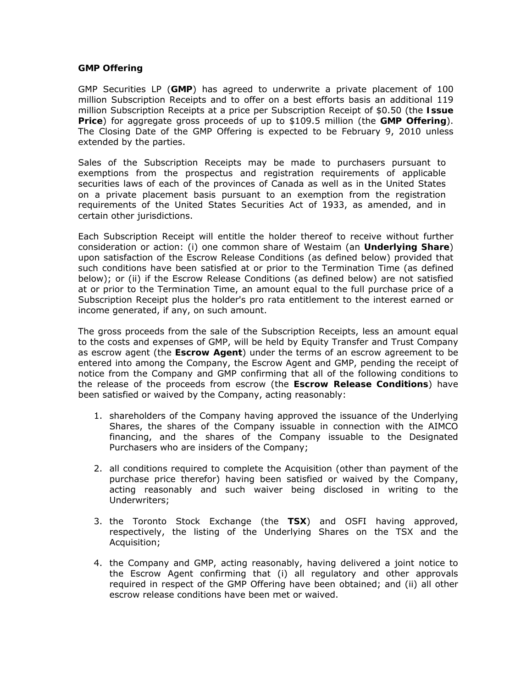#### **GMP Offering**

GMP Securities LP (**GMP**) has agreed to underwrite a private placement of 100 million Subscription Receipts and to offer on a best efforts basis an additional 119 million Subscription Receipts at a price per Subscription Receipt of \$0.50 (the **Issue Price**) for aggregate gross proceeds of up to \$109.5 million (the **GMP Offering**). The Closing Date of the GMP Offering is expected to be February 9, 2010 unless extended by the parties.

Sales of the Subscription Receipts may be made to purchasers pursuant to exemptions from the prospectus and registration requirements of applicable securities laws of each of the provinces of Canada as well as in the United States on a private placement basis pursuant to an exemption from the registration requirements of the United States *Securities Act of 1933*, as amended, and in certain other jurisdictions.

Each Subscription Receipt will entitle the holder thereof to receive without further consideration or action: (i) one common share of Westaim (an **Underlying Share**) upon satisfaction of the Escrow Release Conditions (as defined below) provided that such conditions have been satisfied at or prior to the Termination Time (as defined below); or (ii) if the Escrow Release Conditions (as defined below) are not satisfied at or prior to the Termination Time, an amount equal to the full purchase price of a Subscription Receipt plus the holder's *pro rata* entitlement to the interest earned or income generated, if any, on such amount.

The gross proceeds from the sale of the Subscription Receipts, less an amount equal to the costs and expenses of GMP, will be held by Equity Transfer and Trust Company as escrow agent (the **Escrow Agent**) under the terms of an escrow agreement to be entered into among the Company, the Escrow Agent and GMP, pending the receipt of notice from the Company and GMP confirming that all of the following conditions to the release of the proceeds from escrow (the **Escrow Release Conditions**) have been satisfied or waived by the Company, acting reasonably:

- 1. shareholders of the Company having approved the issuance of the Underlying Shares, the shares of the Company issuable in connection with the AIMCO financing, and the shares of the Company issuable to the Designated Purchasers who are insiders of the Company;
- 2. all conditions required to complete the Acquisition (other than payment of the purchase price therefor) having been satisfied or waived by the Company, acting reasonably and such waiver being disclosed in writing to the Underwriters;
- 3. the Toronto Stock Exchange (the **TSX**) and OSFI having approved, respectively, the listing of the Underlying Shares on the TSX and the Acquisition;
- 4. the Company and GMP, acting reasonably, having delivered a joint notice to the Escrow Agent confirming that (i) all regulatory and other approvals required in respect of the GMP Offering have been obtained; and (ii) all other escrow release conditions have been met or waived.